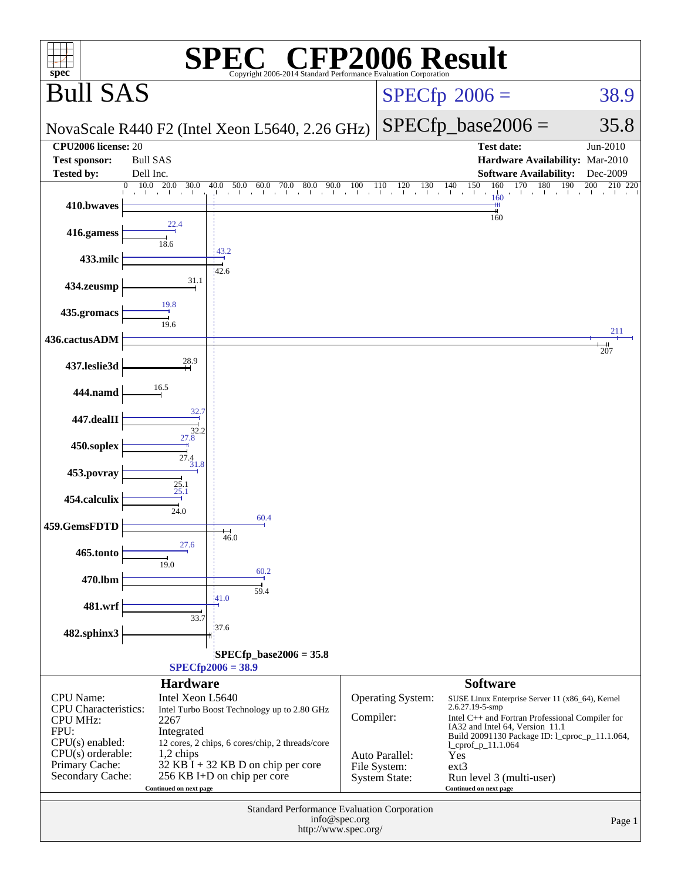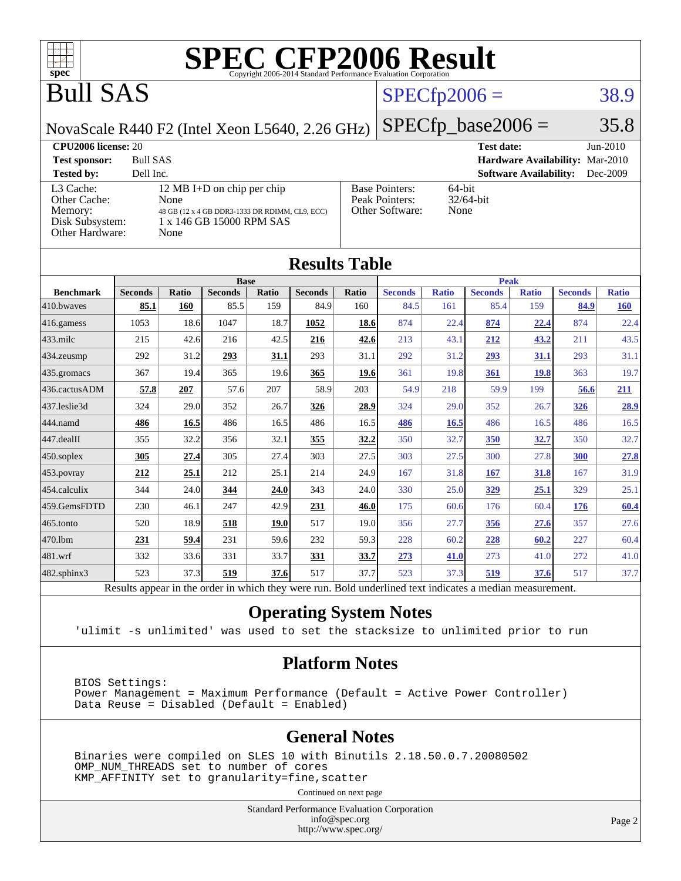

# Bull SAS

# $SPECTp2006 = 38.9$

NovaScale R440 F2 (Intel Xeon L5640, 2.26 GHz)

 $SPECfp\_base2006 = 35.8$ 

| <b>CPU2006 license: 20</b>                                                 |                                                                                                                          |                                                            | <b>Test date:</b><br>$Jun-2010$           |
|----------------------------------------------------------------------------|--------------------------------------------------------------------------------------------------------------------------|------------------------------------------------------------|-------------------------------------------|
| <b>Test sponsor:</b>                                                       | <b>Bull SAS</b>                                                                                                          |                                                            | Hardware Availability: Mar-2010           |
| <b>Tested by:</b>                                                          | Dell Inc.                                                                                                                |                                                            | <b>Software Availability:</b><br>Dec-2009 |
| L3 Cache:<br>Other Cache:<br>Memory:<br>Disk Subsystem:<br>Other Hardware: | 12 MB I+D on chip per chip<br>None<br>48 GB (12 x 4 GB DDR3-1333 DR RDIMM, CL9, ECC)<br>1 x 146 GB 15000 RPM SAS<br>None | <b>Base Pointers:</b><br>Peak Pointers:<br>Other Software: | 64-bit<br>$32/64$ -bit<br>None            |

**[Results Table](http://www.spec.org/auto/cpu2006/Docs/result-fields.html#ResultsTable)**

| Results i adie                                                                                           |                |              |                |       |                |       |                |              |                |              |                |              |
|----------------------------------------------------------------------------------------------------------|----------------|--------------|----------------|-------|----------------|-------|----------------|--------------|----------------|--------------|----------------|--------------|
|                                                                                                          |                |              | <b>Base</b>    |       |                |       | Peak           |              |                |              |                |              |
| <b>Benchmark</b>                                                                                         | <b>Seconds</b> | <b>Ratio</b> | <b>Seconds</b> | Ratio | <b>Seconds</b> | Ratio | <b>Seconds</b> | <b>Ratio</b> | <b>Seconds</b> | <b>Ratio</b> | <b>Seconds</b> | <b>Ratio</b> |
| 410.bwaves                                                                                               | 85.1           | 160          | 85.5           | 159   | 84.9           | 160   | 84.5           | 161          | 85.4           | 159          | 84.9           | <b>160</b>   |
| 416.gamess                                                                                               | 1053           | 18.6         | 1047           | 18.7  | 1052           | 18.6  | 874            | 22.4         | 874            | 22.4         | 874            | 22.4         |
| $433$ .milc                                                                                              | 215            | 42.6         | 216            | 42.5  | 216            | 42.6  | 213            | 43.1         | 212            | 43.2         | 211            | 43.5         |
| 434.zeusmp                                                                                               | 292            | 31.2         | 293            | 31.1  | 293            | 31.1  | 292            | 31.2         | 293            | 31.1         | 293            | 31.1         |
| 435 gromacs                                                                                              | 367            | 19.4         | 365            | 19.6  | 365            | 19.6  | 361            | 19.8         | 361            | <b>19.8</b>  | 363            | 19.7         |
| 436.cactusADM                                                                                            | 57.8           | 207          | 57.6           | 207   | 58.9           | 203   | 54.9           | 218          | 59.9           | 199          | 56.6           | 211          |
| 437.leslie3d                                                                                             | 324            | 29.0         | 352            | 26.7  | 326            | 28.9  | 324            | 29.0         | 352            | 26.7         | <u>326</u>     | 28.9         |
| 444.namd                                                                                                 | 486            | 16.5         | 486            | 16.5  | 486            | 16.5  | 486            | 16.5         | 486            | 16.5         | 486            | 16.5         |
| 447.dealII                                                                                               | 355            | 32.2         | 356            | 32.1  | 355            | 32.2  | 350            | 32.7         | 350            | 32.7         | 350            | 32.7         |
| $450$ .soplex                                                                                            | 305            | 27.4         | 305            | 27.4  | 303            | 27.5  | 303            | 27.5         | 300            | 27.8         | 300            | 27.8         |
| 453.povray                                                                                               | 212            | 25.1         | 212            | 25.1  | 214            | 24.9  | 167            | 31.8         | 167            | 31.8         | 167            | 31.9         |
| 454.calculix                                                                                             | 344            | 24.0         | 344            | 24.0  | 343            | 24.0  | 330            | 25.0         | <u>329</u>     | 25.1         | 329            | 25.1         |
| 459.GemsFDTD                                                                                             | 230            | 46.1         | 247            | 42.9  | 231            | 46.0  | 175            | 60.6         | 176            | 60.4         | 176            | 60.4         |
| 465.tonto                                                                                                | 520            | 18.9         | 518            | 19.0  | 517            | 19.0  | 356            | 27.7         | 356            | 27.6         | 357            | 27.6         |
| 470.1bm                                                                                                  | 231            | 59.4         | 231            | 59.6  | 232            | 59.3  | 228            | 60.2         | 228            | 60.2         | 227            | 60.4         |
| 481.wrf                                                                                                  | 332            | 33.6         | 331            | 33.7  | 331            | 33.7  | 273            | 41.0         | 273            | 41.0         | 272            | 41.0         |
| $482$ .sphinx $3$                                                                                        | 523            | 37.3         | 519            | 37.6  | 517            | 37.7  | 523            | 37.3         | 519            | 37.6         | 517            | 37.7         |
| Results appear in the order in which they were run. Bold underlined text indicates a median measurement. |                |              |                |       |                |       |                |              |                |              |                |              |

### **[Operating System Notes](http://www.spec.org/auto/cpu2006/Docs/result-fields.html#OperatingSystemNotes)**

'ulimit -s unlimited' was used to set the stacksize to unlimited prior to run

### **[Platform Notes](http://www.spec.org/auto/cpu2006/Docs/result-fields.html#PlatformNotes)**

 BIOS Settings: Power Management = Maximum Performance (Default = Active Power Controller) Data Reuse = Disabled (Default = Enabled)

#### **[General Notes](http://www.spec.org/auto/cpu2006/Docs/result-fields.html#GeneralNotes)**

 Binaries were compiled on SLES 10 with Binutils 2.18.50.0.7.20080502 OMP\_NUM\_THREADS set to number of cores KMP\_AFFINITY set to granularity=fine,scatter

Continued on next page

Standard Performance Evaluation Corporation [info@spec.org](mailto:info@spec.org) <http://www.spec.org/>

Page 2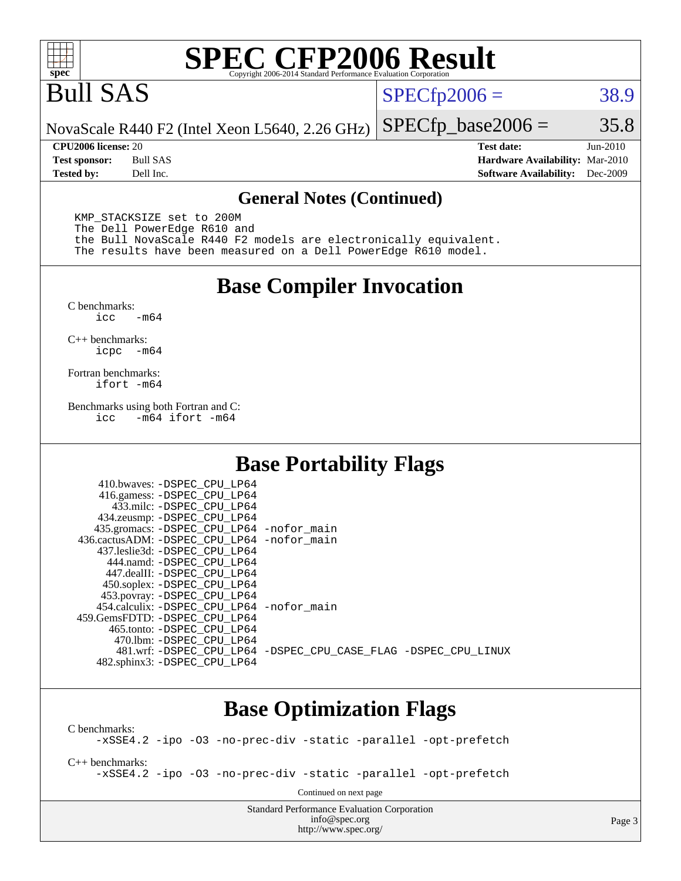

# Bull SAS

 $SPECfp2006 = 38.9$  $SPECfp2006 = 38.9$ 

NovaScale R440 F2 (Intel Xeon L5640, 2.26 GHz)  $SPECTp\_base2006 = 35.8$ 

**[CPU2006 license:](http://www.spec.org/auto/cpu2006/Docs/result-fields.html#CPU2006license)** 20 **[Test date:](http://www.spec.org/auto/cpu2006/Docs/result-fields.html#Testdate)** Jun-2010 **[Test sponsor:](http://www.spec.org/auto/cpu2006/Docs/result-fields.html#Testsponsor)** Bull SAS **[Hardware Availability:](http://www.spec.org/auto/cpu2006/Docs/result-fields.html#HardwareAvailability)** Mar-2010 **[Tested by:](http://www.spec.org/auto/cpu2006/Docs/result-fields.html#Testedby)** Dell Inc. **[Software Availability:](http://www.spec.org/auto/cpu2006/Docs/result-fields.html#SoftwareAvailability)** Dec-2009

#### **[General Notes \(Continued\)](http://www.spec.org/auto/cpu2006/Docs/result-fields.html#GeneralNotes)**

 KMP\_STACKSIZE set to 200M The Dell PowerEdge R610 and the Bull NovaScale R440 F2 models are electronically equivalent. The results have been measured on a Dell PowerEdge R610 model.

### **[Base Compiler Invocation](http://www.spec.org/auto/cpu2006/Docs/result-fields.html#BaseCompilerInvocation)**

 $C$  benchmarks:<br>icc  $-m64$ 

[C++ benchmarks:](http://www.spec.org/auto/cpu2006/Docs/result-fields.html#CXXbenchmarks) [icpc -m64](http://www.spec.org/cpu2006/results/res2010q3/cpu2006-20100706-12272.flags.html#user_CXXbase_intel_icpc_64bit_bedb90c1146cab66620883ef4f41a67e)

[Fortran benchmarks](http://www.spec.org/auto/cpu2006/Docs/result-fields.html#Fortranbenchmarks): [ifort -m64](http://www.spec.org/cpu2006/results/res2010q3/cpu2006-20100706-12272.flags.html#user_FCbase_intel_ifort_64bit_ee9d0fb25645d0210d97eb0527dcc06e)

[Benchmarks using both Fortran and C](http://www.spec.org/auto/cpu2006/Docs/result-fields.html#BenchmarksusingbothFortranandC): [icc -m64](http://www.spec.org/cpu2006/results/res2010q3/cpu2006-20100706-12272.flags.html#user_CC_FCbase_intel_icc_64bit_0b7121f5ab7cfabee23d88897260401c) [ifort -m64](http://www.spec.org/cpu2006/results/res2010q3/cpu2006-20100706-12272.flags.html#user_CC_FCbase_intel_ifort_64bit_ee9d0fb25645d0210d97eb0527dcc06e)

### **[Base Portability Flags](http://www.spec.org/auto/cpu2006/Docs/result-fields.html#BasePortabilityFlags)**

| 435.gromacs: -DSPEC_CPU_LP64 -nofor_main                       |
|----------------------------------------------------------------|
| 436.cactusADM: - DSPEC CPU LP64 - nofor main                   |
|                                                                |
|                                                                |
|                                                                |
|                                                                |
|                                                                |
| 454.calculix: - DSPEC CPU LP64 - nofor main                    |
|                                                                |
|                                                                |
|                                                                |
| 481.wrf: -DSPEC CPU_LP64 -DSPEC_CPU_CASE_FLAG -DSPEC_CPU_LINUX |
|                                                                |
|                                                                |

## **[Base Optimization Flags](http://www.spec.org/auto/cpu2006/Docs/result-fields.html#BaseOptimizationFlags)**

[C benchmarks](http://www.spec.org/auto/cpu2006/Docs/result-fields.html#Cbenchmarks): [-xSSE4.2](http://www.spec.org/cpu2006/results/res2010q3/cpu2006-20100706-12272.flags.html#user_CCbase_f-xSSE42_f91528193cf0b216347adb8b939d4107) [-ipo](http://www.spec.org/cpu2006/results/res2010q3/cpu2006-20100706-12272.flags.html#user_CCbase_f-ipo) [-O3](http://www.spec.org/cpu2006/results/res2010q3/cpu2006-20100706-12272.flags.html#user_CCbase_f-O3) [-no-prec-div](http://www.spec.org/cpu2006/results/res2010q3/cpu2006-20100706-12272.flags.html#user_CCbase_f-no-prec-div) [-static](http://www.spec.org/cpu2006/results/res2010q3/cpu2006-20100706-12272.flags.html#user_CCbase_f-static) [-parallel](http://www.spec.org/cpu2006/results/res2010q3/cpu2006-20100706-12272.flags.html#user_CCbase_f-parallel) [-opt-prefetch](http://www.spec.org/cpu2006/results/res2010q3/cpu2006-20100706-12272.flags.html#user_CCbase_f-opt-prefetch) [C++ benchmarks:](http://www.spec.org/auto/cpu2006/Docs/result-fields.html#CXXbenchmarks) [-xSSE4.2](http://www.spec.org/cpu2006/results/res2010q3/cpu2006-20100706-12272.flags.html#user_CXXbase_f-xSSE42_f91528193cf0b216347adb8b939d4107) [-ipo](http://www.spec.org/cpu2006/results/res2010q3/cpu2006-20100706-12272.flags.html#user_CXXbase_f-ipo) [-O3](http://www.spec.org/cpu2006/results/res2010q3/cpu2006-20100706-12272.flags.html#user_CXXbase_f-O3) [-no-prec-div](http://www.spec.org/cpu2006/results/res2010q3/cpu2006-20100706-12272.flags.html#user_CXXbase_f-no-prec-div) [-static](http://www.spec.org/cpu2006/results/res2010q3/cpu2006-20100706-12272.flags.html#user_CXXbase_f-static) [-parallel](http://www.spec.org/cpu2006/results/res2010q3/cpu2006-20100706-12272.flags.html#user_CXXbase_f-parallel) [-opt-prefetch](http://www.spec.org/cpu2006/results/res2010q3/cpu2006-20100706-12272.flags.html#user_CXXbase_f-opt-prefetch) Continued on next page

> Standard Performance Evaluation Corporation [info@spec.org](mailto:info@spec.org) <http://www.spec.org/>

Page 3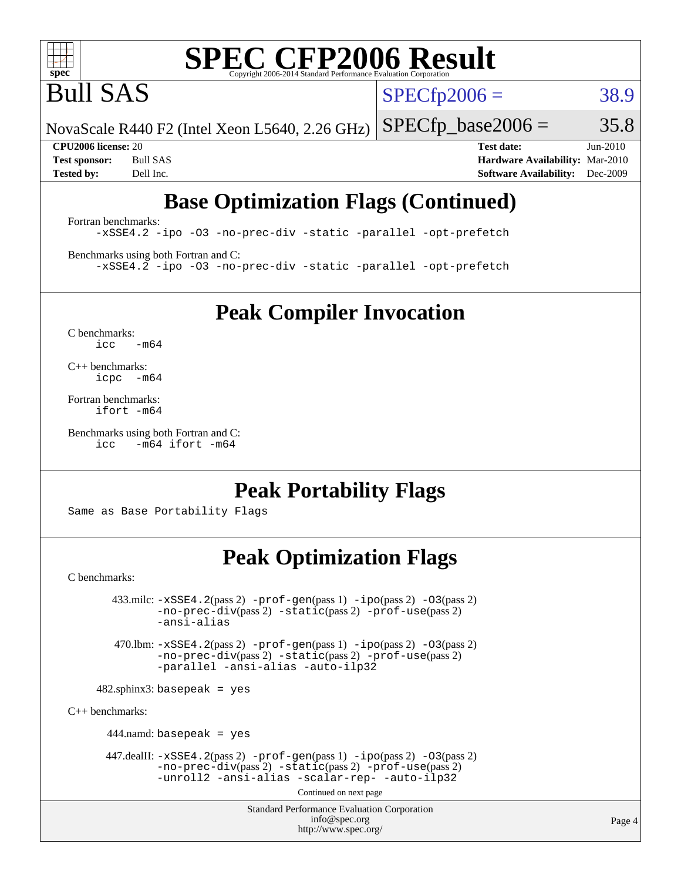

Bull SAS

 $SPECTp2006 = 38.9$ 

NovaScale R440 F2 (Intel Xeon L5640, 2.26 GHz)

 $SPECTp\_base2006 = 35.8$ 

**[CPU2006 license:](http://www.spec.org/auto/cpu2006/Docs/result-fields.html#CPU2006license)** 20 **[Test date:](http://www.spec.org/auto/cpu2006/Docs/result-fields.html#Testdate)** Jun-2010 **[Test sponsor:](http://www.spec.org/auto/cpu2006/Docs/result-fields.html#Testsponsor)** Bull SAS **[Hardware Availability:](http://www.spec.org/auto/cpu2006/Docs/result-fields.html#HardwareAvailability)** Mar-2010 **[Tested by:](http://www.spec.org/auto/cpu2006/Docs/result-fields.html#Testedby)** Dell Inc. **[Software Availability:](http://www.spec.org/auto/cpu2006/Docs/result-fields.html#SoftwareAvailability)** Dec-2009

# **[Base Optimization Flags \(Continued\)](http://www.spec.org/auto/cpu2006/Docs/result-fields.html#BaseOptimizationFlags)**

[Fortran benchmarks](http://www.spec.org/auto/cpu2006/Docs/result-fields.html#Fortranbenchmarks): [-xSSE4.2](http://www.spec.org/cpu2006/results/res2010q3/cpu2006-20100706-12272.flags.html#user_FCbase_f-xSSE42_f91528193cf0b216347adb8b939d4107) [-ipo](http://www.spec.org/cpu2006/results/res2010q3/cpu2006-20100706-12272.flags.html#user_FCbase_f-ipo) [-O3](http://www.spec.org/cpu2006/results/res2010q3/cpu2006-20100706-12272.flags.html#user_FCbase_f-O3) [-no-prec-div](http://www.spec.org/cpu2006/results/res2010q3/cpu2006-20100706-12272.flags.html#user_FCbase_f-no-prec-div) [-static](http://www.spec.org/cpu2006/results/res2010q3/cpu2006-20100706-12272.flags.html#user_FCbase_f-static) [-parallel](http://www.spec.org/cpu2006/results/res2010q3/cpu2006-20100706-12272.flags.html#user_FCbase_f-parallel) [-opt-prefetch](http://www.spec.org/cpu2006/results/res2010q3/cpu2006-20100706-12272.flags.html#user_FCbase_f-opt-prefetch)

[Benchmarks using both Fortran and C](http://www.spec.org/auto/cpu2006/Docs/result-fields.html#BenchmarksusingbothFortranandC): [-xSSE4.2](http://www.spec.org/cpu2006/results/res2010q3/cpu2006-20100706-12272.flags.html#user_CC_FCbase_f-xSSE42_f91528193cf0b216347adb8b939d4107) [-ipo](http://www.spec.org/cpu2006/results/res2010q3/cpu2006-20100706-12272.flags.html#user_CC_FCbase_f-ipo) [-O3](http://www.spec.org/cpu2006/results/res2010q3/cpu2006-20100706-12272.flags.html#user_CC_FCbase_f-O3) [-no-prec-div](http://www.spec.org/cpu2006/results/res2010q3/cpu2006-20100706-12272.flags.html#user_CC_FCbase_f-no-prec-div) [-static](http://www.spec.org/cpu2006/results/res2010q3/cpu2006-20100706-12272.flags.html#user_CC_FCbase_f-static) [-parallel](http://www.spec.org/cpu2006/results/res2010q3/cpu2006-20100706-12272.flags.html#user_CC_FCbase_f-parallel) [-opt-prefetch](http://www.spec.org/cpu2006/results/res2010q3/cpu2006-20100706-12272.flags.html#user_CC_FCbase_f-opt-prefetch)

**[Peak Compiler Invocation](http://www.spec.org/auto/cpu2006/Docs/result-fields.html#PeakCompilerInvocation)**

[C benchmarks](http://www.spec.org/auto/cpu2006/Docs/result-fields.html#Cbenchmarks):  $icc$   $-m64$ 

[C++ benchmarks:](http://www.spec.org/auto/cpu2006/Docs/result-fields.html#CXXbenchmarks) [icpc -m64](http://www.spec.org/cpu2006/results/res2010q3/cpu2006-20100706-12272.flags.html#user_CXXpeak_intel_icpc_64bit_bedb90c1146cab66620883ef4f41a67e)

[Fortran benchmarks](http://www.spec.org/auto/cpu2006/Docs/result-fields.html#Fortranbenchmarks): [ifort -m64](http://www.spec.org/cpu2006/results/res2010q3/cpu2006-20100706-12272.flags.html#user_FCpeak_intel_ifort_64bit_ee9d0fb25645d0210d97eb0527dcc06e)

[Benchmarks using both Fortran and C](http://www.spec.org/auto/cpu2006/Docs/result-fields.html#BenchmarksusingbothFortranandC): [icc -m64](http://www.spec.org/cpu2006/results/res2010q3/cpu2006-20100706-12272.flags.html#user_CC_FCpeak_intel_icc_64bit_0b7121f5ab7cfabee23d88897260401c) [ifort -m64](http://www.spec.org/cpu2006/results/res2010q3/cpu2006-20100706-12272.flags.html#user_CC_FCpeak_intel_ifort_64bit_ee9d0fb25645d0210d97eb0527dcc06e)

**[Peak Portability Flags](http://www.spec.org/auto/cpu2006/Docs/result-fields.html#PeakPortabilityFlags)**

Same as Base Portability Flags

## **[Peak Optimization Flags](http://www.spec.org/auto/cpu2006/Docs/result-fields.html#PeakOptimizationFlags)**

[C benchmarks](http://www.spec.org/auto/cpu2006/Docs/result-fields.html#Cbenchmarks):

 $433 \text{.}$ milc:  $-xSSE4$ .  $2(pass 2)$  - $prof-gen(pass 1)$  - $ipo(pass 2)$  [-O3](http://www.spec.org/cpu2006/results/res2010q3/cpu2006-20100706-12272.flags.html#user_peakPASS2_CFLAGSPASS2_LDFLAGS433_milc_f-O3) $(pass 2)$ [-no-prec-div](http://www.spec.org/cpu2006/results/res2010q3/cpu2006-20100706-12272.flags.html#user_peakPASS2_CFLAGSPASS2_LDFLAGS433_milc_f-no-prec-div)(pass 2) [-static](http://www.spec.org/cpu2006/results/res2010q3/cpu2006-20100706-12272.flags.html#user_peakPASS2_CFLAGSPASS2_LDFLAGS433_milc_f-static)(pass 2) [-prof-use](http://www.spec.org/cpu2006/results/res2010q3/cpu2006-20100706-12272.flags.html#user_peakPASS2_CFLAGSPASS2_LDFLAGS433_milc_prof_use_bccf7792157ff70d64e32fe3e1250b55)(pass 2) [-ansi-alias](http://www.spec.org/cpu2006/results/res2010q3/cpu2006-20100706-12272.flags.html#user_peakOPTIMIZE433_milc_f-ansi-alias) 470.lbm: [-xSSE4.2](http://www.spec.org/cpu2006/results/res2010q3/cpu2006-20100706-12272.flags.html#user_peakPASS2_CFLAGSPASS2_LDFLAGS470_lbm_f-xSSE42_f91528193cf0b216347adb8b939d4107)(pass 2) [-prof-gen](http://www.spec.org/cpu2006/results/res2010q3/cpu2006-20100706-12272.flags.html#user_peakPASS1_CFLAGSPASS1_LDFLAGS470_lbm_prof_gen_e43856698f6ca7b7e442dfd80e94a8fc)(pass 1) [-ipo](http://www.spec.org/cpu2006/results/res2010q3/cpu2006-20100706-12272.flags.html#user_peakPASS2_CFLAGSPASS2_LDFLAGS470_lbm_f-ipo)(pass 2) [-O3](http://www.spec.org/cpu2006/results/res2010q3/cpu2006-20100706-12272.flags.html#user_peakPASS2_CFLAGSPASS2_LDFLAGS470_lbm_f-O3)(pass 2) [-no-prec-div](http://www.spec.org/cpu2006/results/res2010q3/cpu2006-20100706-12272.flags.html#user_peakPASS2_CFLAGSPASS2_LDFLAGS470_lbm_f-no-prec-div)(pass 2) [-static](http://www.spec.org/cpu2006/results/res2010q3/cpu2006-20100706-12272.flags.html#user_peakPASS2_CFLAGSPASS2_LDFLAGS470_lbm_f-static)(pass 2) [-prof-use](http://www.spec.org/cpu2006/results/res2010q3/cpu2006-20100706-12272.flags.html#user_peakPASS2_CFLAGSPASS2_LDFLAGS470_lbm_prof_use_bccf7792157ff70d64e32fe3e1250b55)(pass 2) [-parallel](http://www.spec.org/cpu2006/results/res2010q3/cpu2006-20100706-12272.flags.html#user_peakOPTIMIZE470_lbm_f-parallel) [-ansi-alias](http://www.spec.org/cpu2006/results/res2010q3/cpu2006-20100706-12272.flags.html#user_peakOPTIMIZE470_lbm_f-ansi-alias) [-auto-ilp32](http://www.spec.org/cpu2006/results/res2010q3/cpu2006-20100706-12272.flags.html#user_peakCOPTIMIZE470_lbm_f-auto-ilp32)  $482$ .sphinx3: basepeak = yes [C++ benchmarks:](http://www.spec.org/auto/cpu2006/Docs/result-fields.html#CXXbenchmarks) 444.namd: basepeak = yes 447.dealII: [-xSSE4.2](http://www.spec.org/cpu2006/results/res2010q3/cpu2006-20100706-12272.flags.html#user_peakPASS2_CXXFLAGSPASS2_LDFLAGS447_dealII_f-xSSE42_f91528193cf0b216347adb8b939d4107)(pass 2) [-prof-gen](http://www.spec.org/cpu2006/results/res2010q3/cpu2006-20100706-12272.flags.html#user_peakPASS1_CXXFLAGSPASS1_LDFLAGS447_dealII_prof_gen_e43856698f6ca7b7e442dfd80e94a8fc)(pass 1) [-ipo](http://www.spec.org/cpu2006/results/res2010q3/cpu2006-20100706-12272.flags.html#user_peakPASS2_CXXFLAGSPASS2_LDFLAGS447_dealII_f-ipo)(pass 2) [-O3](http://www.spec.org/cpu2006/results/res2010q3/cpu2006-20100706-12272.flags.html#user_peakPASS2_CXXFLAGSPASS2_LDFLAGS447_dealII_f-O3)(pass 2) [-no-prec-div](http://www.spec.org/cpu2006/results/res2010q3/cpu2006-20100706-12272.flags.html#user_peakPASS2_CXXFLAGSPASS2_LDFLAGS447_dealII_f-no-prec-div)(pass 2) [-static](http://www.spec.org/cpu2006/results/res2010q3/cpu2006-20100706-12272.flags.html#user_peakPASS2_CXXFLAGSPASS2_LDFLAGS447_dealII_f-static)(pass 2) [-prof-use](http://www.spec.org/cpu2006/results/res2010q3/cpu2006-20100706-12272.flags.html#user_peakPASS2_CXXFLAGSPASS2_LDFLAGS447_dealII_prof_use_bccf7792157ff70d64e32fe3e1250b55)(pass 2)

[-unroll2](http://www.spec.org/cpu2006/results/res2010q3/cpu2006-20100706-12272.flags.html#user_peakOPTIMIZE447_dealII_f-unroll_784dae83bebfb236979b41d2422d7ec2) [-ansi-alias](http://www.spec.org/cpu2006/results/res2010q3/cpu2006-20100706-12272.flags.html#user_peakOPTIMIZE447_dealII_f-ansi-alias) [-scalar-rep-](http://www.spec.org/cpu2006/results/res2010q3/cpu2006-20100706-12272.flags.html#user_peakOPTIMIZE447_dealII_f-disablescalarrep_abbcad04450fb118e4809c81d83c8a1d) [-auto-ilp32](http://www.spec.org/cpu2006/results/res2010q3/cpu2006-20100706-12272.flags.html#user_peakCXXOPTIMIZE447_dealII_f-auto-ilp32)

Continued on next page

Standard Performance Evaluation Corporation [info@spec.org](mailto:info@spec.org) <http://www.spec.org/>

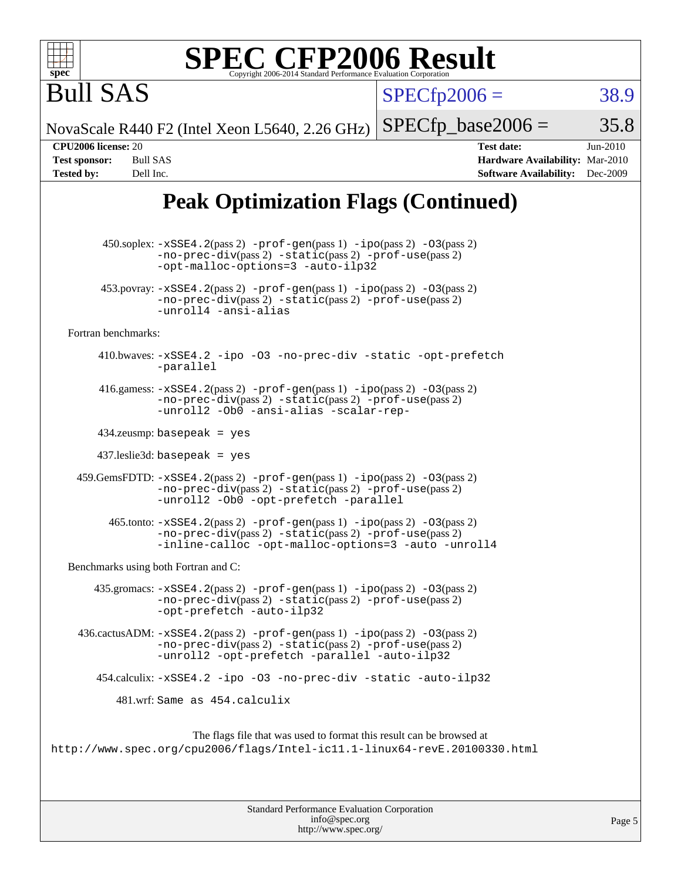

 $SPECTp2006 = 38.9$ 

NovaScale R440 F2 (Intel Xeon L5640, 2.26 GHz)

 $SPECTp\_base2006 = 35.8$ 

Bull SAS

**[CPU2006 license:](http://www.spec.org/auto/cpu2006/Docs/result-fields.html#CPU2006license)** 20 **[Test date:](http://www.spec.org/auto/cpu2006/Docs/result-fields.html#Testdate)** Jun-2010 **[Test sponsor:](http://www.spec.org/auto/cpu2006/Docs/result-fields.html#Testsponsor)** Bull SAS **[Hardware Availability:](http://www.spec.org/auto/cpu2006/Docs/result-fields.html#HardwareAvailability)** Mar-2010 **[Tested by:](http://www.spec.org/auto/cpu2006/Docs/result-fields.html#Testedby)** Dell Inc. **[Software Availability:](http://www.spec.org/auto/cpu2006/Docs/result-fields.html#SoftwareAvailability)** Dec-2009

# **[Peak Optimization Flags \(Continued\)](http://www.spec.org/auto/cpu2006/Docs/result-fields.html#PeakOptimizationFlags)**

 450.soplex: [-xSSE4.2](http://www.spec.org/cpu2006/results/res2010q3/cpu2006-20100706-12272.flags.html#user_peakPASS2_CXXFLAGSPASS2_LDFLAGS450_soplex_f-xSSE42_f91528193cf0b216347adb8b939d4107)(pass 2) [-prof-gen](http://www.spec.org/cpu2006/results/res2010q3/cpu2006-20100706-12272.flags.html#user_peakPASS1_CXXFLAGSPASS1_LDFLAGS450_soplex_prof_gen_e43856698f6ca7b7e442dfd80e94a8fc)(pass 1) [-ipo](http://www.spec.org/cpu2006/results/res2010q3/cpu2006-20100706-12272.flags.html#user_peakPASS2_CXXFLAGSPASS2_LDFLAGS450_soplex_f-ipo)(pass 2) [-O3](http://www.spec.org/cpu2006/results/res2010q3/cpu2006-20100706-12272.flags.html#user_peakPASS2_CXXFLAGSPASS2_LDFLAGS450_soplex_f-O3)(pass 2) [-no-prec-div](http://www.spec.org/cpu2006/results/res2010q3/cpu2006-20100706-12272.flags.html#user_peakPASS2_CXXFLAGSPASS2_LDFLAGS450_soplex_f-no-prec-div)(pass 2) [-static](http://www.spec.org/cpu2006/results/res2010q3/cpu2006-20100706-12272.flags.html#user_peakPASS2_CXXFLAGSPASS2_LDFLAGS450_soplex_f-static)(pass 2) [-prof-use](http://www.spec.org/cpu2006/results/res2010q3/cpu2006-20100706-12272.flags.html#user_peakPASS2_CXXFLAGSPASS2_LDFLAGS450_soplex_prof_use_bccf7792157ff70d64e32fe3e1250b55)(pass 2) [-opt-malloc-options=3](http://www.spec.org/cpu2006/results/res2010q3/cpu2006-20100706-12272.flags.html#user_peakOPTIMIZE450_soplex_f-opt-malloc-options_13ab9b803cf986b4ee62f0a5998c2238) [-auto-ilp32](http://www.spec.org/cpu2006/results/res2010q3/cpu2006-20100706-12272.flags.html#user_peakCXXOPTIMIZE450_soplex_f-auto-ilp32) 453.povray:  $-xSSE4$ . 2(pass 2)  $-prof-gen(pass 1) -ipo(pass 2) -O3(pass 2)$  $-prof-gen(pass 1) -ipo(pass 2) -O3(pass 2)$  $-prof-gen(pass 1) -ipo(pass 2) -O3(pass 2)$  $-prof-gen(pass 1) -ipo(pass 2) -O3(pass 2)$  $-prof-gen(pass 1) -ipo(pass 2) -O3(pass 2)$  $-prof-gen(pass 1) -ipo(pass 2) -O3(pass 2)$ [-no-prec-div](http://www.spec.org/cpu2006/results/res2010q3/cpu2006-20100706-12272.flags.html#user_peakPASS2_CXXFLAGSPASS2_LDFLAGS453_povray_f-no-prec-div)(pass 2) [-static](http://www.spec.org/cpu2006/results/res2010q3/cpu2006-20100706-12272.flags.html#user_peakPASS2_CXXFLAGSPASS2_LDFLAGS453_povray_f-static)(pass 2) [-prof-use](http://www.spec.org/cpu2006/results/res2010q3/cpu2006-20100706-12272.flags.html#user_peakPASS2_CXXFLAGSPASS2_LDFLAGS453_povray_prof_use_bccf7792157ff70d64e32fe3e1250b55)(pass 2) [-unroll4](http://www.spec.org/cpu2006/results/res2010q3/cpu2006-20100706-12272.flags.html#user_peakCXXOPTIMIZE453_povray_f-unroll_4e5e4ed65b7fd20bdcd365bec371b81f) [-ansi-alias](http://www.spec.org/cpu2006/results/res2010q3/cpu2006-20100706-12272.flags.html#user_peakCXXOPTIMIZE453_povray_f-ansi-alias) [Fortran benchmarks](http://www.spec.org/auto/cpu2006/Docs/result-fields.html#Fortranbenchmarks): 410.bwaves: [-xSSE4.2](http://www.spec.org/cpu2006/results/res2010q3/cpu2006-20100706-12272.flags.html#user_peakOPTIMIZE410_bwaves_f-xSSE42_f91528193cf0b216347adb8b939d4107) [-ipo](http://www.spec.org/cpu2006/results/res2010q3/cpu2006-20100706-12272.flags.html#user_peakOPTIMIZE410_bwaves_f-ipo) [-O3](http://www.spec.org/cpu2006/results/res2010q3/cpu2006-20100706-12272.flags.html#user_peakOPTIMIZE410_bwaves_f-O3) [-no-prec-div](http://www.spec.org/cpu2006/results/res2010q3/cpu2006-20100706-12272.flags.html#user_peakOPTIMIZE410_bwaves_f-no-prec-div) [-static](http://www.spec.org/cpu2006/results/res2010q3/cpu2006-20100706-12272.flags.html#user_peakOPTIMIZE410_bwaves_f-static) [-opt-prefetch](http://www.spec.org/cpu2006/results/res2010q3/cpu2006-20100706-12272.flags.html#user_peakOPTIMIZE410_bwaves_f-opt-prefetch) [-parallel](http://www.spec.org/cpu2006/results/res2010q3/cpu2006-20100706-12272.flags.html#user_peakOPTIMIZE410_bwaves_f-parallel) 416.gamess:  $-xSSE4$ . 2(pass 2)  $-prof-gen(pass 1) -ipo(pass 2) -O3(pass 2)$  $-prof-gen(pass 1) -ipo(pass 2) -O3(pass 2)$  $-prof-gen(pass 1) -ipo(pass 2) -O3(pass 2)$  $-prof-gen(pass 1) -ipo(pass 2) -O3(pass 2)$  $-prof-gen(pass 1) -ipo(pass 2) -O3(pass 2)$  $-prof-gen(pass 1) -ipo(pass 2) -O3(pass 2)$ [-no-prec-div](http://www.spec.org/cpu2006/results/res2010q3/cpu2006-20100706-12272.flags.html#user_peakPASS2_FFLAGSPASS2_LDFLAGS416_gamess_f-no-prec-div)(pass 2) [-static](http://www.spec.org/cpu2006/results/res2010q3/cpu2006-20100706-12272.flags.html#user_peakPASS2_FFLAGSPASS2_LDFLAGS416_gamess_f-static)(pass 2) [-prof-use](http://www.spec.org/cpu2006/results/res2010q3/cpu2006-20100706-12272.flags.html#user_peakPASS2_FFLAGSPASS2_LDFLAGS416_gamess_prof_use_bccf7792157ff70d64e32fe3e1250b55)(pass 2) [-unroll2](http://www.spec.org/cpu2006/results/res2010q3/cpu2006-20100706-12272.flags.html#user_peakOPTIMIZE416_gamess_f-unroll_784dae83bebfb236979b41d2422d7ec2) [-Ob0](http://www.spec.org/cpu2006/results/res2010q3/cpu2006-20100706-12272.flags.html#user_peakOPTIMIZE416_gamess_f-Ob_n_fbe6f6428adb7d4b74b1e99bb2444c2d) [-ansi-alias](http://www.spec.org/cpu2006/results/res2010q3/cpu2006-20100706-12272.flags.html#user_peakOPTIMIZE416_gamess_f-ansi-alias) [-scalar-rep-](http://www.spec.org/cpu2006/results/res2010q3/cpu2006-20100706-12272.flags.html#user_peakOPTIMIZE416_gamess_f-disablescalarrep_abbcad04450fb118e4809c81d83c8a1d) 434.zeusmp: basepeak = yes 437.leslie3d: basepeak = yes 459.GemsFDTD: [-xSSE4.2](http://www.spec.org/cpu2006/results/res2010q3/cpu2006-20100706-12272.flags.html#user_peakPASS2_FFLAGSPASS2_LDFLAGS459_GemsFDTD_f-xSSE42_f91528193cf0b216347adb8b939d4107)(pass 2) [-prof-gen](http://www.spec.org/cpu2006/results/res2010q3/cpu2006-20100706-12272.flags.html#user_peakPASS1_FFLAGSPASS1_LDFLAGS459_GemsFDTD_prof_gen_e43856698f6ca7b7e442dfd80e94a8fc)(pass 1) [-ipo](http://www.spec.org/cpu2006/results/res2010q3/cpu2006-20100706-12272.flags.html#user_peakPASS2_FFLAGSPASS2_LDFLAGS459_GemsFDTD_f-ipo)(pass 2) [-O3](http://www.spec.org/cpu2006/results/res2010q3/cpu2006-20100706-12272.flags.html#user_peakPASS2_FFLAGSPASS2_LDFLAGS459_GemsFDTD_f-O3)(pass 2) [-no-prec-div](http://www.spec.org/cpu2006/results/res2010q3/cpu2006-20100706-12272.flags.html#user_peakPASS2_FFLAGSPASS2_LDFLAGS459_GemsFDTD_f-no-prec-div)(pass 2) [-static](http://www.spec.org/cpu2006/results/res2010q3/cpu2006-20100706-12272.flags.html#user_peakPASS2_FFLAGSPASS2_LDFLAGS459_GemsFDTD_f-static)(pass 2) [-prof-use](http://www.spec.org/cpu2006/results/res2010q3/cpu2006-20100706-12272.flags.html#user_peakPASS2_FFLAGSPASS2_LDFLAGS459_GemsFDTD_prof_use_bccf7792157ff70d64e32fe3e1250b55)(pass 2) [-unroll2](http://www.spec.org/cpu2006/results/res2010q3/cpu2006-20100706-12272.flags.html#user_peakOPTIMIZE459_GemsFDTD_f-unroll_784dae83bebfb236979b41d2422d7ec2) [-Ob0](http://www.spec.org/cpu2006/results/res2010q3/cpu2006-20100706-12272.flags.html#user_peakOPTIMIZE459_GemsFDTD_f-Ob_n_fbe6f6428adb7d4b74b1e99bb2444c2d) [-opt-prefetch](http://www.spec.org/cpu2006/results/res2010q3/cpu2006-20100706-12272.flags.html#user_peakOPTIMIZE459_GemsFDTD_f-opt-prefetch) [-parallel](http://www.spec.org/cpu2006/results/res2010q3/cpu2006-20100706-12272.flags.html#user_peakOPTIMIZE459_GemsFDTD_f-parallel)  $465$ .tonto:  $-xSSE4$ .  $2(pass 2)$  [-prof-gen](http://www.spec.org/cpu2006/results/res2010q3/cpu2006-20100706-12272.flags.html#user_peakPASS1_FFLAGSPASS1_LDFLAGS465_tonto_prof_gen_e43856698f6ca7b7e442dfd80e94a8fc)(pass 1) [-ipo](http://www.spec.org/cpu2006/results/res2010q3/cpu2006-20100706-12272.flags.html#user_peakPASS2_FFLAGSPASS2_LDFLAGS465_tonto_f-ipo)(pass 2) -03(pass 2) [-no-prec-div](http://www.spec.org/cpu2006/results/res2010q3/cpu2006-20100706-12272.flags.html#user_peakPASS2_FFLAGSPASS2_LDFLAGS465_tonto_f-no-prec-div)(pass 2) [-static](http://www.spec.org/cpu2006/results/res2010q3/cpu2006-20100706-12272.flags.html#user_peakPASS2_FFLAGSPASS2_LDFLAGS465_tonto_f-static)(pass 2) [-prof-use](http://www.spec.org/cpu2006/results/res2010q3/cpu2006-20100706-12272.flags.html#user_peakPASS2_FFLAGSPASS2_LDFLAGS465_tonto_prof_use_bccf7792157ff70d64e32fe3e1250b55)(pass 2) [-inline-calloc](http://www.spec.org/cpu2006/results/res2010q3/cpu2006-20100706-12272.flags.html#user_peakOPTIMIZE465_tonto_f-inline-calloc) [-opt-malloc-options=3](http://www.spec.org/cpu2006/results/res2010q3/cpu2006-20100706-12272.flags.html#user_peakOPTIMIZE465_tonto_f-opt-malloc-options_13ab9b803cf986b4ee62f0a5998c2238) [-auto](http://www.spec.org/cpu2006/results/res2010q3/cpu2006-20100706-12272.flags.html#user_peakOPTIMIZE465_tonto_f-auto) [-unroll4](http://www.spec.org/cpu2006/results/res2010q3/cpu2006-20100706-12272.flags.html#user_peakOPTIMIZE465_tonto_f-unroll_4e5e4ed65b7fd20bdcd365bec371b81f) [Benchmarks using both Fortran and C](http://www.spec.org/auto/cpu2006/Docs/result-fields.html#BenchmarksusingbothFortranandC): 435.gromacs:  $-xSSE4$ . 2(pass 2)  $-prof-gen(pass 1) -ipo(pass 2) -O3(pass 2)$  $-prof-gen(pass 1) -ipo(pass 2) -O3(pass 2)$  $-prof-gen(pass 1) -ipo(pass 2) -O3(pass 2)$  $-prof-gen(pass 1) -ipo(pass 2) -O3(pass 2)$  $-prof-gen(pass 1) -ipo(pass 2) -O3(pass 2)$  $-prof-gen(pass 1) -ipo(pass 2) -O3(pass 2)$ [-no-prec-div](http://www.spec.org/cpu2006/results/res2010q3/cpu2006-20100706-12272.flags.html#user_peakPASS2_CFLAGSPASS2_FFLAGSPASS2_LDFLAGS435_gromacs_f-no-prec-div)(pass 2) [-static](http://www.spec.org/cpu2006/results/res2010q3/cpu2006-20100706-12272.flags.html#user_peakPASS2_CFLAGSPASS2_FFLAGSPASS2_LDFLAGS435_gromacs_f-static)(pass 2) [-prof-use](http://www.spec.org/cpu2006/results/res2010q3/cpu2006-20100706-12272.flags.html#user_peakPASS2_CFLAGSPASS2_FFLAGSPASS2_LDFLAGS435_gromacs_prof_use_bccf7792157ff70d64e32fe3e1250b55)(pass 2) [-opt-prefetch](http://www.spec.org/cpu2006/results/res2010q3/cpu2006-20100706-12272.flags.html#user_peakOPTIMIZE435_gromacs_f-opt-prefetch) [-auto-ilp32](http://www.spec.org/cpu2006/results/res2010q3/cpu2006-20100706-12272.flags.html#user_peakCOPTIMIZE435_gromacs_f-auto-ilp32) 436.cactusADM: [-xSSE4.2](http://www.spec.org/cpu2006/results/res2010q3/cpu2006-20100706-12272.flags.html#user_peakPASS2_CFLAGSPASS2_FFLAGSPASS2_LDFLAGS436_cactusADM_f-xSSE42_f91528193cf0b216347adb8b939d4107)(pass 2) [-prof-gen](http://www.spec.org/cpu2006/results/res2010q3/cpu2006-20100706-12272.flags.html#user_peakPASS1_CFLAGSPASS1_FFLAGSPASS1_LDFLAGS436_cactusADM_prof_gen_e43856698f6ca7b7e442dfd80e94a8fc)(pass 1) [-ipo](http://www.spec.org/cpu2006/results/res2010q3/cpu2006-20100706-12272.flags.html#user_peakPASS2_CFLAGSPASS2_FFLAGSPASS2_LDFLAGS436_cactusADM_f-ipo)(pass 2) [-O3](http://www.spec.org/cpu2006/results/res2010q3/cpu2006-20100706-12272.flags.html#user_peakPASS2_CFLAGSPASS2_FFLAGSPASS2_LDFLAGS436_cactusADM_f-O3)(pass 2) [-no-prec-div](http://www.spec.org/cpu2006/results/res2010q3/cpu2006-20100706-12272.flags.html#user_peakPASS2_CFLAGSPASS2_FFLAGSPASS2_LDFLAGS436_cactusADM_f-no-prec-div)(pass 2) [-static](http://www.spec.org/cpu2006/results/res2010q3/cpu2006-20100706-12272.flags.html#user_peakPASS2_CFLAGSPASS2_FFLAGSPASS2_LDFLAGS436_cactusADM_f-static)(pass 2) [-prof-use](http://www.spec.org/cpu2006/results/res2010q3/cpu2006-20100706-12272.flags.html#user_peakPASS2_CFLAGSPASS2_FFLAGSPASS2_LDFLAGS436_cactusADM_prof_use_bccf7792157ff70d64e32fe3e1250b55)(pass 2) [-unroll2](http://www.spec.org/cpu2006/results/res2010q3/cpu2006-20100706-12272.flags.html#user_peakOPTIMIZE436_cactusADM_f-unroll_784dae83bebfb236979b41d2422d7ec2) [-opt-prefetch](http://www.spec.org/cpu2006/results/res2010q3/cpu2006-20100706-12272.flags.html#user_peakOPTIMIZE436_cactusADM_f-opt-prefetch) [-parallel](http://www.spec.org/cpu2006/results/res2010q3/cpu2006-20100706-12272.flags.html#user_peakOPTIMIZE436_cactusADM_f-parallel) [-auto-ilp32](http://www.spec.org/cpu2006/results/res2010q3/cpu2006-20100706-12272.flags.html#user_peakCOPTIMIZE436_cactusADM_f-auto-ilp32) 454.calculix: [-xSSE4.2](http://www.spec.org/cpu2006/results/res2010q3/cpu2006-20100706-12272.flags.html#user_peakOPTIMIZE454_calculix_f-xSSE42_f91528193cf0b216347adb8b939d4107) [-ipo](http://www.spec.org/cpu2006/results/res2010q3/cpu2006-20100706-12272.flags.html#user_peakOPTIMIZE454_calculix_f-ipo) [-O3](http://www.spec.org/cpu2006/results/res2010q3/cpu2006-20100706-12272.flags.html#user_peakOPTIMIZE454_calculix_f-O3) [-no-prec-div](http://www.spec.org/cpu2006/results/res2010q3/cpu2006-20100706-12272.flags.html#user_peakOPTIMIZE454_calculix_f-no-prec-div) [-static](http://www.spec.org/cpu2006/results/res2010q3/cpu2006-20100706-12272.flags.html#user_peakOPTIMIZE454_calculix_f-static) [-auto-ilp32](http://www.spec.org/cpu2006/results/res2010q3/cpu2006-20100706-12272.flags.html#user_peakCOPTIMIZE454_calculix_f-auto-ilp32) 481.wrf: Same as 454.calculix The flags file that was used to format this result can be browsed at <http://www.spec.org/cpu2006/flags/Intel-ic11.1-linux64-revE.20100330.html>